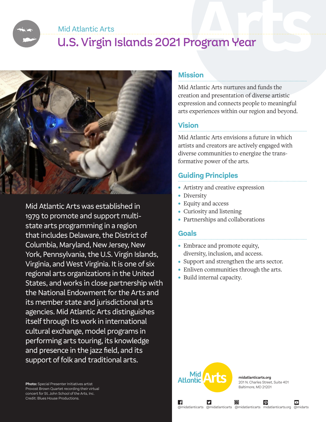Mid Atlantic Arts

# U.S. Virgin Islands 2021 Program Year



Mid Atlantic Arts was established in 1979 to promote and support multistate arts programming in a region that includes Delaware, the District of Columbia, Maryland, New Jersey, New York, Pennsylvania, the U.S. Virgin Islands, Virginia, and West Virginia. It is one of six regional arts organizations in the United States, and works in close partnership with the National Endowment for the Arts and its member state and jurisdictional arts agencies. Mid Atlantic Arts distinguishes itself through its work in international cultural exchange, model programs in performing arts touring, its knowledge and presence in the jazz field, and its support of folk and traditional arts.

**Photo:** Special Presenter Initiatives artist Provost Brown Quartet recording their virtual concert for St. John School of the Arts, Inc. Credit: Blues House Productions.

#### **Mission**

Mid Atlantic Arts nurtures and funds the creation and presentation of diverse artistic expression and connects people to meaningful arts experiences within our region and beyond.

### **Vision**

Mid Atlantic Arts envisions a future in which artists and creators are actively engaged with diverse communities to energize the transformative power of the arts.

# **Guiding Principles**

- Artistry and creative expression
- Diversity
- Equity and access
- Curiosity and listening
- Partnerships and collaborations

#### **Goals**

- Embrace and promote equity, diversity, inclusion, and access.
- Support and strengthen the arts sector.
- Enliven communities through the arts.
- Build internal capacity.



∣ f

**midatlanticarts.org** 201 N. Charles Street, Suite 401 Baltimore, MD 21201